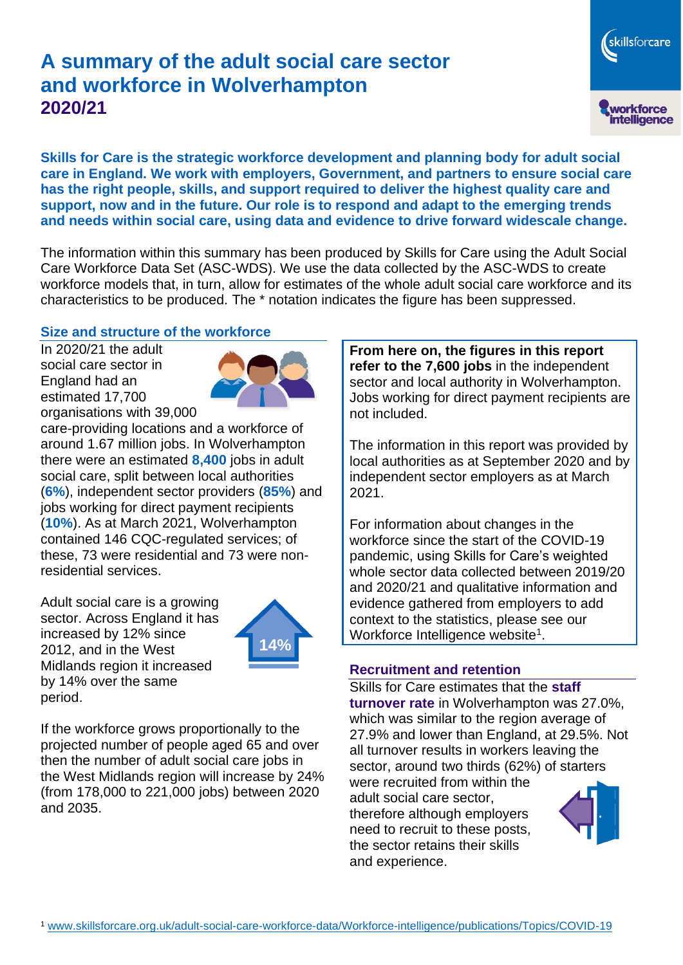# **A summary of the adult social care sector and workforce in Wolverhampton 2020/21**

skillsforcare workforce<br>intelligence

**Skills for Care is the strategic workforce development and planning body for adult social care in England. We work with employers, Government, and partners to ensure social care has the right people, skills, and support required to deliver the highest quality care and support, now and in the future. Our role is to respond and adapt to the emerging trends and needs within social care, using data and evidence to drive forward widescale change.**

The information within this summary has been produced by Skills for Care using the Adult Social Care Workforce Data Set (ASC-WDS). We use the data collected by the ASC-WDS to create workforce models that, in turn, allow for estimates of the whole adult social care workforce and its characteristics to be produced. The \* notation indicates the figure has been suppressed.

#### **Size and structure of the workforce**

In 2020/21 the adult social care sector in England had an estimated 17,700 organisations with 39,000



care-providing locations and a workforce of around 1.67 million jobs. In Wolverhampton there were an estimated **8,400** jobs in adult social care, split between local authorities (**6%**), independent sector providers (**85%**) and jobs working for direct payment recipients (**10%**). As at March 2021, Wolverhampton contained 146 CQC-regulated services; of these, 73 were residential and 73 were nonresidential services.

Adult social care is a growing sector. Across England it has increased by 12% since 2012, and in the West Midlands region it increased by 14% over the same period.



If the workforce grows proportionally to the projected number of people aged 65 and over then the number of adult social care jobs in the West Midlands region will increase by 24% (from 178,000 to 221,000 jobs) between 2020 and 2035.

**From here on, the figures in this report refer to the 7,600 jobs** in the independent sector and local authority in Wolverhampton. Jobs working for direct payment recipients are not included.

The information in this report was provided by local authorities as at September 2020 and by independent sector employers as at March 2021.

For information about changes in the workforce since the start of the COVID-19 pandemic, using Skills for Care's weighted whole sector data collected between 2019/20 and 2020/21 and qualitative information and evidence gathered from employers to add context to the statistics, please see our Workforce Intelligence website<sup>1</sup>.

#### **Recruitment and retention**

Skills for Care estimates that the **staff turnover rate** in Wolverhampton was 27.0%, which was similar to the region average of 27.9% and lower than England, at 29.5%. Not all turnover results in workers leaving the sector, around two thirds (62%) of starters were recruited from within the adult social care sector,

therefore although employers need to recruit to these posts, the sector retains their skills and experience.

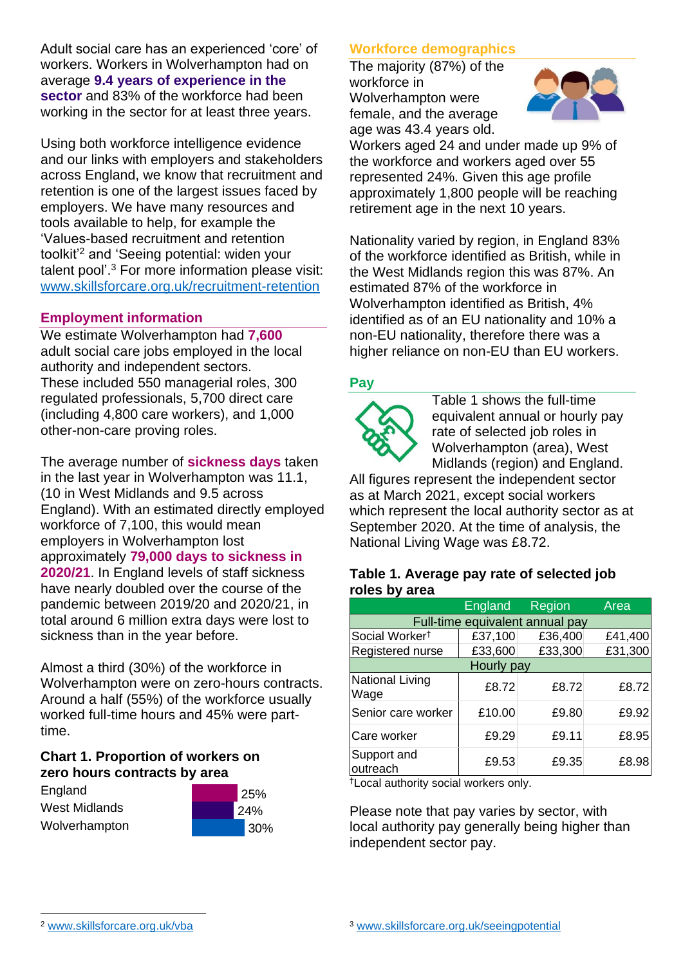Adult social care has an experienced 'core' of workers. Workers in Wolverhampton had on average **9.4 years of experience in the sector** and 83% of the workforce had been working in the sector for at least three years.

Using both workforce intelligence evidence and our links with employers and stakeholders across England, we know that recruitment and retention is one of the largest issues faced by employers. We have many resources and tools available to help, for example the 'Values-based recruitment and retention toolkit'<sup>2</sup> and 'Seeing potential: widen your talent pool'. <sup>3</sup> For more information please visit: [www.skillsforcare.org.uk/recruitment-retention](http://www.skillsforcare.org.uk/recruitment-retention)

#### **Employment information**

We estimate Wolverhampton had **7,600** adult social care jobs employed in the local authority and independent sectors. These included 550 managerial roles, 300 regulated professionals, 5,700 direct care (including 4,800 care workers), and 1,000 other-non-care proving roles.

The average number of **sickness days** taken in the last year in Wolverhampton was 11.1, (10 in West Midlands and 9.5 across England). With an estimated directly employed workforce of 7,100, this would mean employers in Wolverhampton lost approximately **79,000 days to sickness in 2020/21**. In England levels of staff sickness have nearly doubled over the course of the pandemic between 2019/20 and 2020/21, in total around 6 million extra days were lost to sickness than in the year before.

Almost a third (30%) of the workforce in Wolverhampton were on zero-hours contracts. Around a half (55%) of the workforce usually worked full-time hours and 45% were parttime.

#### **Chart 1. Proportion of workers on zero hours contracts by area**

**England** West Midlands Wolverhampton



### **Workforce demographics**

The majority (87%) of the workforce in Wolverhampton were female, and the average age was 43.4 years old.



Workers aged 24 and under made up 9% of the workforce and workers aged over 55 represented 24%. Given this age profile approximately 1,800 people will be reaching retirement age in the next 10 years.

Nationality varied by region, in England 83% of the workforce identified as British, while in the West Midlands region this was 87%. An estimated 87% of the workforce in Wolverhampton identified as British, 4% identified as of an EU nationality and 10% a non-EU nationality, therefore there was a higher reliance on non-EU than EU workers.

### **Pay**



Table 1 shows the full-time equivalent annual or hourly pay rate of selected job roles in Wolverhampton (area), West Midlands (region) and England.

All figures represent the independent sector as at March 2021, except social workers which represent the local authority sector as at September 2020. At the time of analysis, the National Living Wage was £8.72.

#### **Table 1. Average pay rate of selected job roles by area**

|                                 | <b>England</b> | Region  | Area    |
|---------------------------------|----------------|---------|---------|
| Full-time equivalent annual pay |                |         |         |
| Social Worker <sup>t</sup>      | £37,100        | £36,400 | £41,400 |
| Registered nurse                | £33,600        | £33,300 | £31,300 |
| Hourly pay                      |                |         |         |
| National Living<br>Wage         | £8.72          | £8.72   | £8.72   |
| Senior care worker              | £10.00         | £9.80   | £9.92   |
| Care worker                     | £9.29          | £9.11   | £8.95   |
| Support and<br>outreach         | £9.53          | £9.35   | £8.98   |

†Local authority social workers only.

Please note that pay varies by sector, with local authority pay generally being higher than independent sector pay.

[www.skillsforcare.org.uk/vba](http://www.skillsforcare.org.uk/vba)